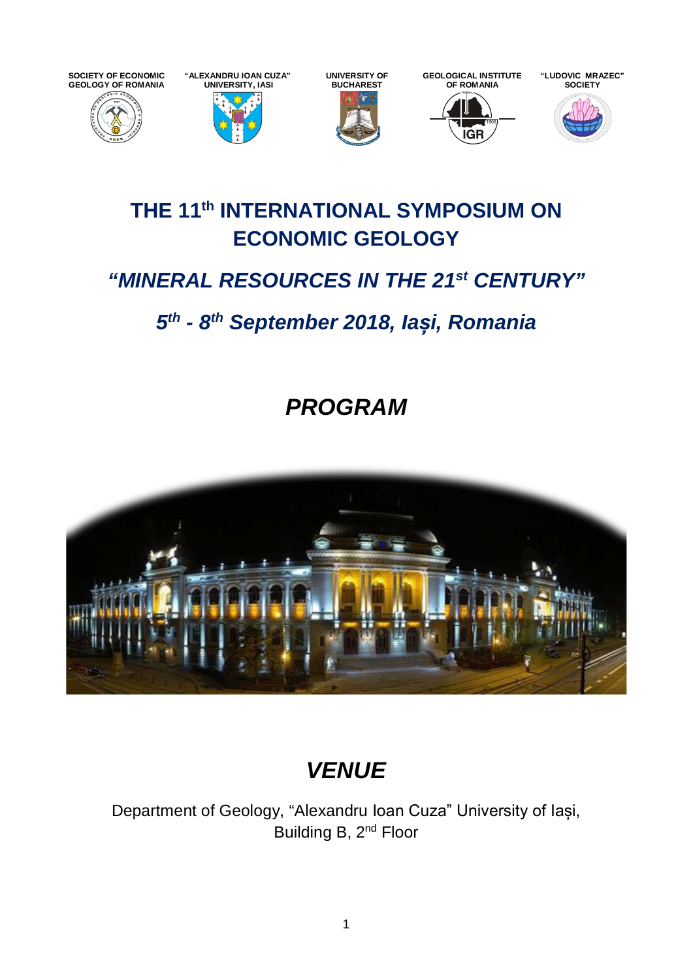**SOCIETY OF ECONOMIC GEOLOGY OF ROMANIA**





**GEOLOGICAL INSTITUTE OF ROMANIA**





**"LUDOVIC MRAZEC"** 

## **THE 11th INTERNATIONAL SYMPOSIUM ON ECONOMIC GEOLOGY**

# *"MINERAL RESOURCES IN THE 21st CENTURY"*

# *5th - 8th September 2018, Iași, Romania*

*PROGRAM*



# *VENUE*

Department of Geology, "Alexandru Ioan Cuza" University of Iași, Building B, 2<sup>nd</sup> Floor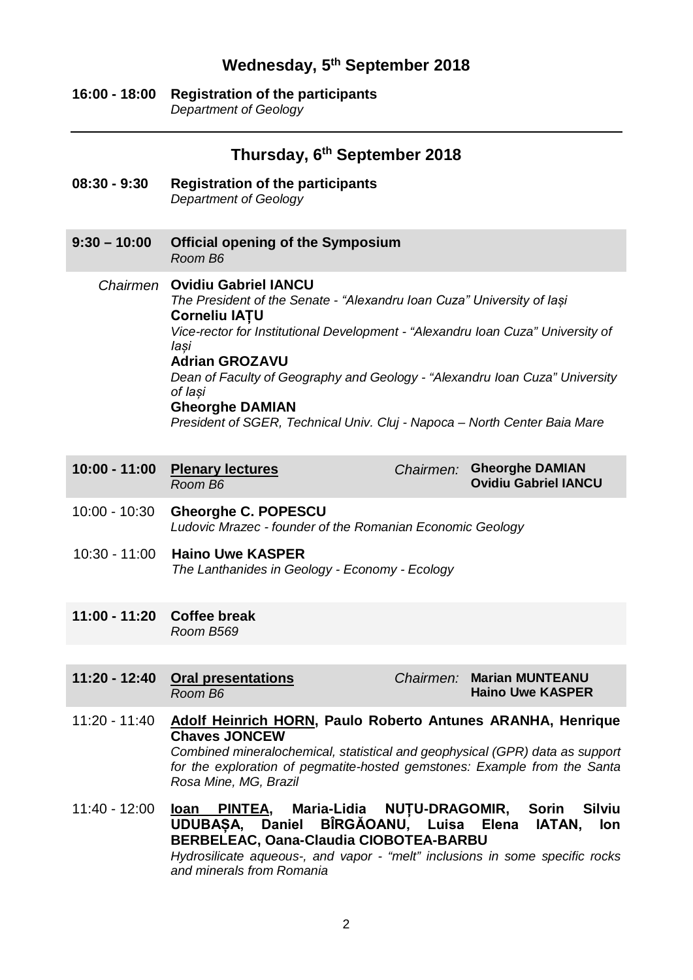## **Wednesday, 5th September 2018**

#### **16:00 - 18:00 Registration of the participants** *Department of Geology*

|                                  | Thursday, 6 <sup>th</sup> September 2018                                                                                                                                                                                                                                                                                                                                                                                                                    |
|----------------------------------|-------------------------------------------------------------------------------------------------------------------------------------------------------------------------------------------------------------------------------------------------------------------------------------------------------------------------------------------------------------------------------------------------------------------------------------------------------------|
| $08:30 - 9:30$                   | <b>Registration of the participants</b><br><b>Department of Geology</b>                                                                                                                                                                                                                                                                                                                                                                                     |
| $9:30 - 10:00$                   | <b>Official opening of the Symposium</b><br>Room B6                                                                                                                                                                                                                                                                                                                                                                                                         |
|                                  | <b>Chairmen</b> Ovidiu Gabriel IANCU<br>The President of the Senate - "Alexandru Ioan Cuza" University of lasi<br><b>Corneliu IATU</b><br>Vice-rector for Institutional Development - "Alexandru Ioan Cuza" University of<br>laşi<br><b>Adrian GROZAVU</b><br>Dean of Faculty of Geography and Geology - "Alexandru Ioan Cuza" University<br>of laşi<br><b>Gheorghe DAMIAN</b><br>President of SGER, Technical Univ. Cluj - Napoca - North Center Baia Mare |
| $10:00 - 11:00$                  | Chairmen: Gheorghe DAMIAN<br><b>Plenary lectures</b><br><b>Ovidiu Gabriel IANCU</b><br>Room B6                                                                                                                                                                                                                                                                                                                                                              |
| $10:00 - 10:30$<br>10:30 - 11:00 | <b>Gheorghe C. POPESCU</b><br>Ludovic Mrazec - founder of the Romanian Economic Geology<br><b>Haino Uwe KASPER</b><br>The Lanthanides in Geology - Economy - Ecology                                                                                                                                                                                                                                                                                        |
| 11:00 - 11:20 Coffee break       | Room B569                                                                                                                                                                                                                                                                                                                                                                                                                                                   |
| $11:20 - 12:40$                  | <b>Oral presentations</b><br><b>Marian MUNTEANU</b><br>Chairmen:<br><b>Haino Uwe KASPER</b><br>Room B6                                                                                                                                                                                                                                                                                                                                                      |
| $11:20 - 11:40$                  | <b>Adolf Heinrich HORN, Paulo Roberto Antunes ARANHA, Henrique</b><br><b>Chaves JONCEW</b><br>Combined mineralochemical, statistical and geophysical (GPR) data as support<br>for the exploration of pegmatite-hosted gemstones: Example from the Santa<br>Rosa Mine, MG, Brazil                                                                                                                                                                            |
| $11:40 - 12:00$                  | Maria-Lidia NUTU-DRAGOMIR, Sorin<br><b>Silviu</b><br><b>loan</b><br><u>PINTEA,</u><br>UDUBAȘA, Daniel BÎRGĂOANU, Luisa Elena<br><b>IATAN,</b><br>lon<br><b>BERBELEAC, Oana-Claudia CIOBOTEA-BARBU</b><br>Hydrosilicate aqueous-, and vapor - "melt" inclusions in some specific rocks<br>and minerals from Romania                                                                                                                                          |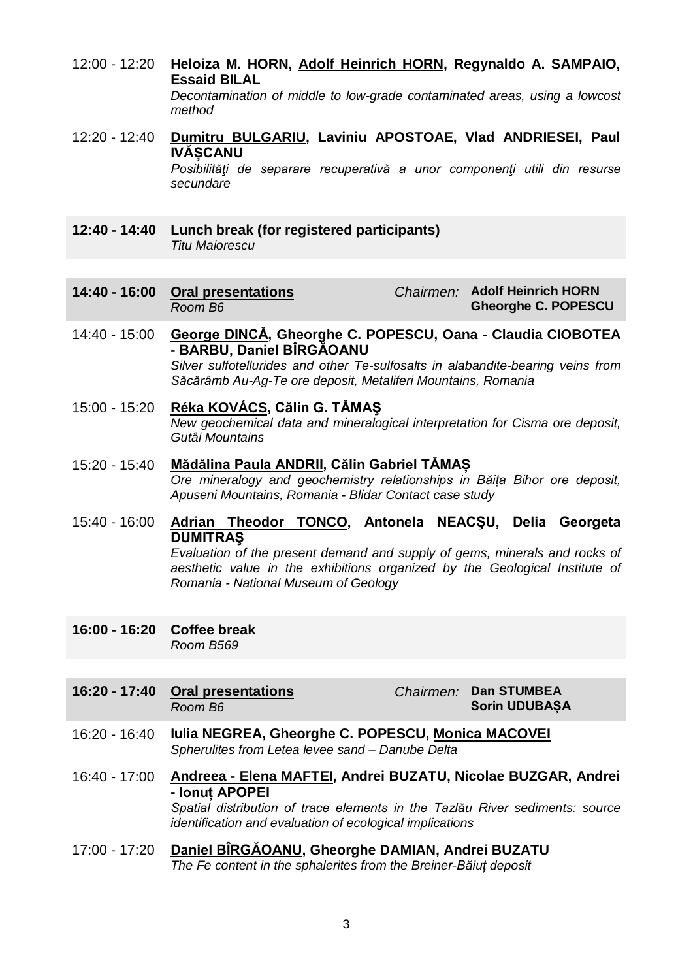- 12:00 12:20 **Heloiza M. HORN, Adolf Heinrich HORN, Regynaldo A. SAMPAIO, Essaid BILAL** *Decontamination of middle to low-grade contaminated areas, using a lowcost method*
- 12:20 12:40 **Dumitru BULGARIU, Laviniu APOSTOAE, Vlad ANDRIESEI, Paul IVĂȘCANU** *Posibilităţi de separare recuperativă a unor componenţi utili din resurse secundare*
- **12:40 - 14:40 Lunch break (for registered participants)** *Titu Maiorescu*
- **14:40 - 16:00 Oral presentations** *Room B6 Chairmen:* **Adolf Heinrich HORN Gheorghe C. POPESCU**
- 14:40 15:00 **George DINCĂ, Gheorghe C. POPESCU, Oana - Claudia CIOBOTEA - BARBU, Daniel BÎRGĂOANU** *Silver sulfotellurides and other Te-sulfosalts in alabandite-bearing veins from Săcărâmb Au-Ag-Te ore deposit, Metaliferi Mountains, Romania*
- 15:00 15:20 **Réka KOVÁCS, Călin G. TĂMAŞ** *New geochemical data and mineralogical interpretation for Cisma ore deposit, Gutâi Mountains*
- 15:20 15:40 **Mădălina Paula ANDRII, Călin Gabriel TĂMAȘ** *Ore mineralogy and geochemistry relationships in Băița Bihor ore deposit, Apuseni Mountains, Romania - Blidar Contact case study*
- 15:40 16:00 **Adrian Theodor TONCO, Antonela NEACŞU, Delia Georgeta DUMITRAŞ** *Evaluation of the present demand and supply of gems, minerals and rocks of*  aesthetic value in the exhibitions organized by the Geological Institute of *Romania - National Museum of Geology*
- **16:00 - 16:20 Coffee break** *Room B569*
- **16:20 - 17:40 Oral presentations** *Room B6*

*Chairmen:* **Dan STUMBEA Sorin UDUBAȘA**

- 16:20 16:40 **Iulia NEGREA, Gheorghe C. POPESCU, Monica MACOVEI** *Spherulites from Letea levee sand – Danube Delta*
- 16:40 17:00 **Andreea - Elena MAFTEI, Andrei BUZATU, Nicolae BUZGAR, Andrei - Ionuț APOPEI** *Spatial distribution of trace elements in the Tazlău River sediments: source identification and evaluation of ecological implications*
- 17:00 17:20 **Daniel BÎRGĂOANU, Gheorghe DAMIAN, Andrei BUZATU** *The Fe content in the sphalerites from the Breiner-Băiuț deposit*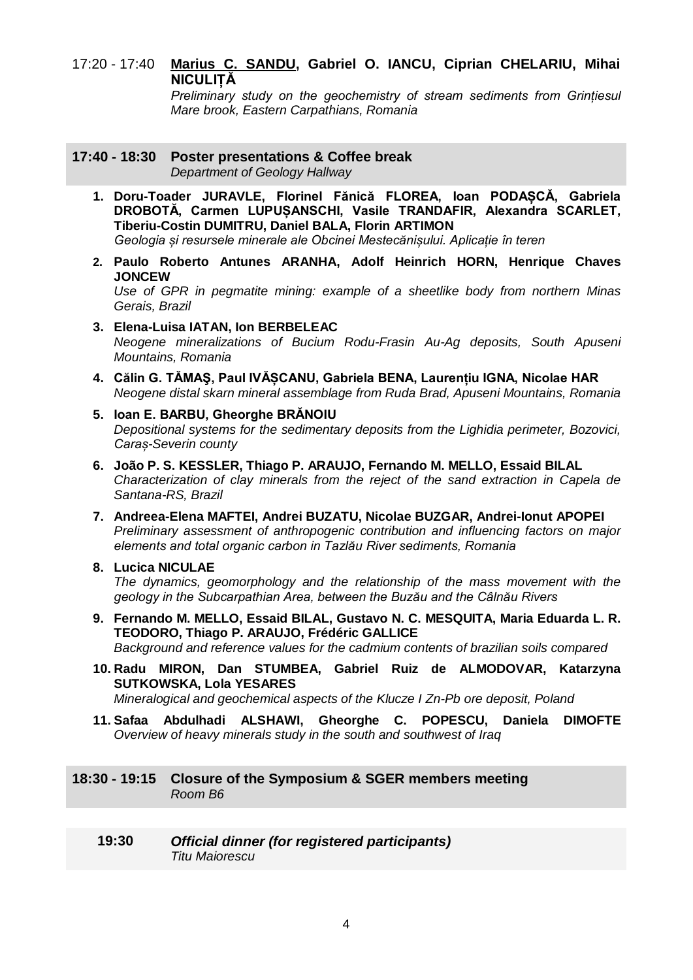### 17:20 - 17:40 **Marius C. SANDU, Gabriel O. IANCU, Ciprian CHELARIU, Mihai NICULIȚĂ**

*Preliminary study on the geochemistry of stream sediments from Grințiesul Mare brook, Eastern Carpathians, Romania*

#### **17:40 - 18:30 Poster presentations & Coffee break** *Department of Geology Hallway*

- **1. Doru-Toader JURAVLE, Florinel Fănică FLOREA, Ioan PODAȘCĂ, Gabriela DROBOTĂ, Carmen LUPUȘANSCHI, Vasile TRANDAFIR, Alexandra SCARLET, Tiberiu-Costin DUMITRU, Daniel BALA, Florin ARTIMON** *Geologia și resursele minerale ale Obcinei Mestecănișului. Aplicație în teren*
- **2. Paulo Roberto Antunes ARANHA, Adolf Heinrich HORN, Henrique Chaves JONCEW**

*Use of GPR in pegmatite mining: example of a sheetlike body from northern Minas Gerais, Brazil*

- **3. Elena-Luisa IATAN, Ion BERBELEAC** *Neogene mineralizations of Bucium Rodu-Frasin Au-Ag deposits, South Apuseni Mountains, Romania*
- **4. Călin G. TĂMAŞ, Paul IVĂȘCANU, Gabriela BENA, Laurențiu IGNA, Nicolae HAR** *Neogene distal skarn mineral assemblage from Ruda Brad, Apuseni Mountains, Romania*
- **5. Ioan E. BARBU, Gheorghe BRĂNOIU** *Depositional systems for the sedimentary deposits from the Lighidia perimeter, Bozovici, Caraș-Severin county*
- **6. João P. S. KESSLER, Thiago P. ARAUJO, Fernando M. MELLO, Essaid BILAL** *Characterization of clay minerals from the reject of the sand extraction in Capela de Santana-RS, Brazil*
- **7. Andreea-Elena MAFTEI, Andrei BUZATU, Nicolae BUZGAR, Andrei-Ionut APOPEI** *Preliminary assessment of anthropogenic contribution and influencing factors on major elements and total organic carbon in Tazlău River sediments, Romania*

#### **8. Lucica NICULAE** *The dynamics, geomorphology and the relationship of the mass movement with the geology in the Subcarpathian Area, between the Buzău and the Câlnău Rivers*

- **9. Fernando M. MELLO, Essaid BILAL, Gustavo N. C. MESQUITA, Maria Eduarda L. R. TEODORO, Thiago P. ARAUJO, Frédéric GALLICE** *Background and reference values for the cadmium contents of brazilian soils compared*
- **10. Radu MIRON, Dan STUMBEA, Gabriel Ruiz de ALMODOVAR, Katarzyna SUTKOWSKA, Lola YESARES**
	- *Mineralogical and geochemical aspects of the Klucze I Zn-Pb ore deposit, Poland*
- **11. Safaa Abdulhadi ALSHAWI, Gheorghe C. POPESCU, Daniela DIMOFTE** *Overview of heavy minerals study in the south and southwest of Iraq*

#### **18:30 - 19:15 Closure of the Symposium & SGER members meeting** *Room B6*

#### **19:30** *Official dinner (for registered participants) Titu Maiorescu*